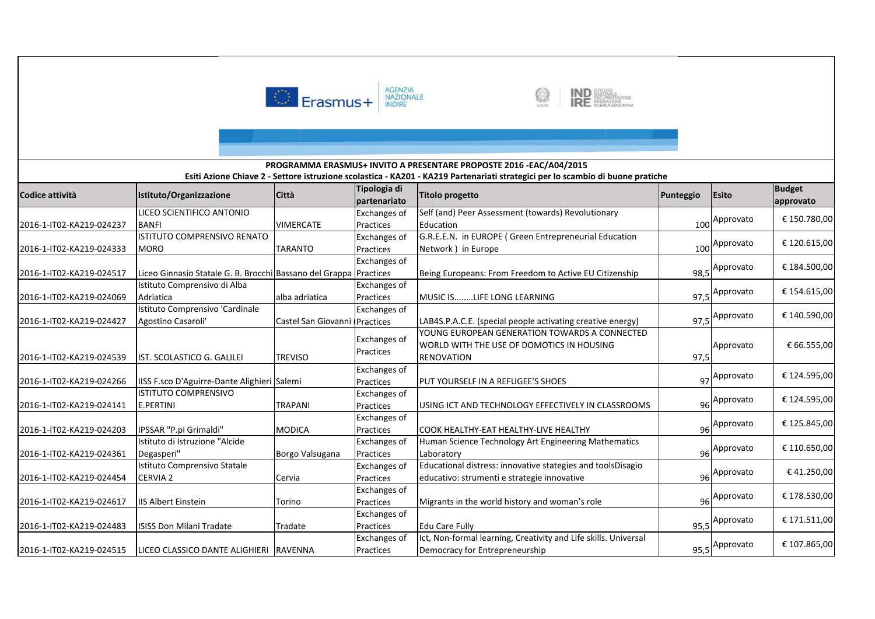

2016-1-IT02-KA219-024515 LICEO CLASSICO DANTE ALIGHIERI RAVENNA



Democracy for Entrepreneurship example 1 and 1 and 1 95,5

Approvato € 107.865,00



### **Codice attività Istituto/Organizzazione Città Tipologia di partenariato Titolo progetto Punteggio Esito Budget approvato** 2016-1-IT02-KA219-024237LICEO SCIENTIFICO ANTONIO BANFI VIMERCATE Exchanges of Practices Exchanges of Self (and) Peer Assessment (towards) Revolutionary Education $100^{ \text{Approx} 100}$   $\frac{100}{ \text{approx} 100}$   $\frac{100}{ \text{approx} 100}$   $\frac{100}{ \text{approx} 100}$   $\frac{100}{ \text{approx} 100}$   $\frac{100}{ \text{approx} 100}$   $\frac{100}{ \text{approx} 100}$   $\frac{100}{ \text{approx} 100}$   $\frac{100}{ \text{approx} 100}$   $\frac{100}{ \text{approx} 100}$   $\frac{100}{ \text{approx} 100}$   $\frac$ 2016-1-IT02-KA219-024333ISTITUTO COMPRENSIVO RENATO MORO **TARANTO** Practices Exchanges of G.R.E.E.N. in EUROPE ( Green Entrepreneurial Education Network ) in Europee 100  $_{100}$ Approvato  $\left| \right.$  € 120.615,00 2016-1-IT02-KA219-024517 Liceo Ginnasio Statale G. B. Brocchi Bassano del Grappa Practices Being Europeans: From Freedom to Active EU Citizenship 98,5 Approvato <sup>2</sup> € 184.500,00 2016-1-IT02-KA219-024069Istituto Comprensivo di Alba Adriatica alba adriatica Exchanges of PracticesMUSIC IS........LIFE LONG LEARNING 97,5 Approvato  $\Big|$  € 154.615,00 2016-1-IT02-KA219-024427Istituto Comprensivo 'Cardinale Agostino Casaroli'' Castel San Giovanni (Practices Exchanges of LAB4S.P.A.C.E. (special people activating creative energy) 97,5 Approvato <sup>2</sup> € 140.590,00 2016-1-IT02-KA219-024539 IST. SCOLASTICO G. GALILEI TREVISOExchanges of PracticesYOUNG EUROPEAN GENERATION TOWARDS A CONNECTED WORLD WITH THE USE OF DOMOTICS IN HOUSING RENOVATION 97.5  $\text{Approx}$   $\uparrow$   $\uparrow$  66.555.00 2016-1-IT02-KA219-024266 | IISS F.sco D'Aguirre-Dante Alighieri Salemi Exchanges of PracticesPUT YOURSELF IN A REFUGEE'S SHOES  $\sigma$ <sub>97</sub> Approvato  $\left| \right.$  € 124.595,00 2016-1-IT02-KA219-024141ISTITUTO COMPRENSIVO E.PERTINI TRAPANI Exchanges of Practices USING ICT AND TECHNOLOGY EFFECTIVELY IN CLASSROOMS <sup>96</sup> $\frac{1}{96}$ Approvato | € 124.595,00 2016-1-IT02-KA219-024203 IPSSAR "P.pi Grimaldi" MODICAExchanges of PracticesCOOK HEALTHY-EAT HEALTHY-LIVE HEALTHY 96 Approvato  $\Big|$  € 125.845,00 2016-1-IT02-KA219-024361Istituto di Istruzione "Alcide Degasperi" Borgo Valsugana Exchanges of Practices Exchanges of Human Science Technology Art Engineering Mathematics Laboratoryу до 1962 — одності процесі в 1962 — одності 1962 — одності 1963 — одності 1963 — одності 1963 — одності 1963 <br>Процесі в 1963 — одності 1970 — одності 1970 — одності 1970 — одності 1970 — одності 1970 — одності 1970 — одн  $96$ Approvato  $\left| \right.$  € 110.650,00 2016-1-IT02-KA219-024454Istituto Comprensivo Statale CERVIA 2 Cervia Practices Exchanges of Educational distress: innovative stategies and toolsDisagio educativo: strumenti e strategie innovative  $96$ Approvato  $\left| \right.$   $\in$  41.250,00 2016-1-IT02-KA219-024617 IIS Albert Einstein TorinoPracticesMigrants in the world history and woman's role **1998**  Approvato € 178.530,00 2016-1-IT02-KA219-024483 ISISS Don Milani Tradate Tradate Exchanges of Practices Edu Care Fully $y = 95,5$ 95.5 Approvato € 171.511,00 Exchanges of Ict, Non-formal learning, Creativity and Life skills. Universal **Esiti Azione Chiave 2 - Settore istruzione scolastica - KA201 - KA219 Partenariati strategici per lo scambio di buone pratichePROGRAMMA ERASMUS+ INVITO A PRESENTARE PROPOSTE 2016 -EAC/A04/2015**

Practices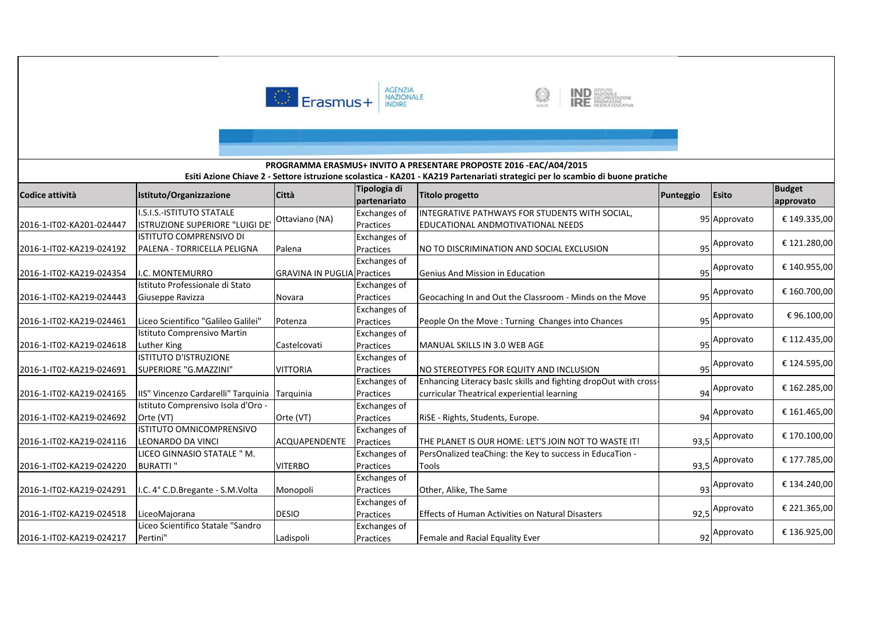



#### **Codice attività Istituto/Organizzazione Città Tipologia di partenariato Titolo progetto Punteggio Esito Budget approvato Esiti Azione Chiave 2 - Settore istruzione scolastica - KA201 - KA219 Partenariati strategici per lo scambio di buone pratiche PROGRAMMA ERASMUS+ INVITO A PRESENTARE PROPOSTE 2016 -EAC/A04/2015**2016-1-IT02-KA201-024447I.S.I.S.-ISTITUTO STATALE I.S.I.S.-ISTITUTO STATALE<br>ISTRUZIONE SUPERIORE "LUIGI DE' Ottaviano (NA) Practices INTEGRATIVE PATHWAYS FOR STUDENTS WITH SOCIAL, EDUCATIONAL ANDMOTIVATIONAL NEEDS $\begin{array}{|c|c|c|c|}\n \hline\n \text{S} & \text{95} \text{Approx} & \text{£ } 149.335,00 \\
 \hline\n \end{array}$ 2016-1-IT02-KA219-024192ISTITUTO COMPRENSIVO DI PALENA - TORRICELLA PELIGNA Palena Exchanges of PracticesNO TO DISCRIMINATION AND SOCIAL EXCLUSION  $\mathsf{q}_5$ Approvato  $\mathsf{q}_5$  £ 121.280,00 2016-1-IT02-KA219-024354 | I.C. MONTEMURRO Exchanges of **GRAVINA IN PUGLIA Practices**  Genius And Mission in Education $_{95}$  Approvato  $\Big|$  € 140.955,00 2016-1-IT02-KA219-024443Istituto Professionale di Stato Giuseppe Ravizza Novara Exchanges of PracticesGeocaching In and Out the Classroom - Minds on the Move 95 Approvato  $\Big|$  € 160.700,00 2016-1-IT02-KA219-024461 Liceo Scientifico "Galileo Galilei" Potenza Exchanges of PracticesPeople On the Move : Turning Changes into Chances  $\frac{1}{95}$ Approvato | € 96.100,00 2016-1-IT02-KA219-024618Istituto Comprensivo Martin Luther King Castelcovati Exchanges of Practices MANUAL SKILLS IN 3.0 WEB AGEE 95 95 Approvato  $\Big|$  € 112.435,00 2016-1-IT02-KA219-024691ISTITUTO D'ISTRUZIONE SUPERIORE "G.MAZZINI" VITTORIAExchanges of PracticesNO STEREOTYPES FOR EQUITY AND INCLUSION FOR THE SAMPLE STATES AND STRIKE STATES AND STRIKE STATES AND STRIKE S Approvato € 124.595,00 2016-1-IT02-KA219-024165 IIS" Vincenzo Cardarelli" Tarquinia Tarquinia Exchanges of Practices Exchanges of Enhancing Literacy basIc skills and fighting dropOut with crosscurricular Theatrical experiential learning  $\begin{array}{c|c} \text{gap} \\ \text{gap} \end{array}$  = \$162.285,00 2016-1-IT02-KA219-024692Istituto Comprensivo Isola d'Oro - Orte (VT) Orte (VT) PracticesRiSE - Rights, Students, Europe. **Example 20 and Students** 94 Approvato € 161.465,00 2016-1-IT02-KA219-024116ISTITUTO OMNICOMPRENSIVO LEONARDO DA VINCI ACQUAPENDENTE Exchanges of PracticesTHE PLANET IS OUR HOME: LET'S JOIN NOT TO WASTE IT! 93,5 Approvato € 170.100,00 2016-1-IT02-KA219-024220LICEO GINNASIO STATALE " M. BURATTI " VITERBO Exchanges of Practices Exchanges of PersOnalized teaChing: the Key to success in EducaTion - Toolss and  $\frac{93,5}{2}$ 93,5 Approvato  $\Big|$  € 177.785,00 2016-1-IT02-KA219-024291 | I.C. 4° C.D.Bregante - S.M.Volta | Monopoli Practices Other, Alike, The Samee 93 93 Approvato <sup>2</sup>€ 134.240,00 2016-1-IT02-KA219-024518 LiceoMajorana DESIOExchanges of PracticesEffects of Human Activities on Natural Disasters 92,5 Approvato  $\Big|$  € 221.365,00 2016-1-IT02-KA219-024217Liceo Scientifico Statale "Sandro Pertini" Ladispoli Exchanges of PracticesFemale and Racial Equality Ever 92 Approvato <sup>2</sup>€ 136.925,00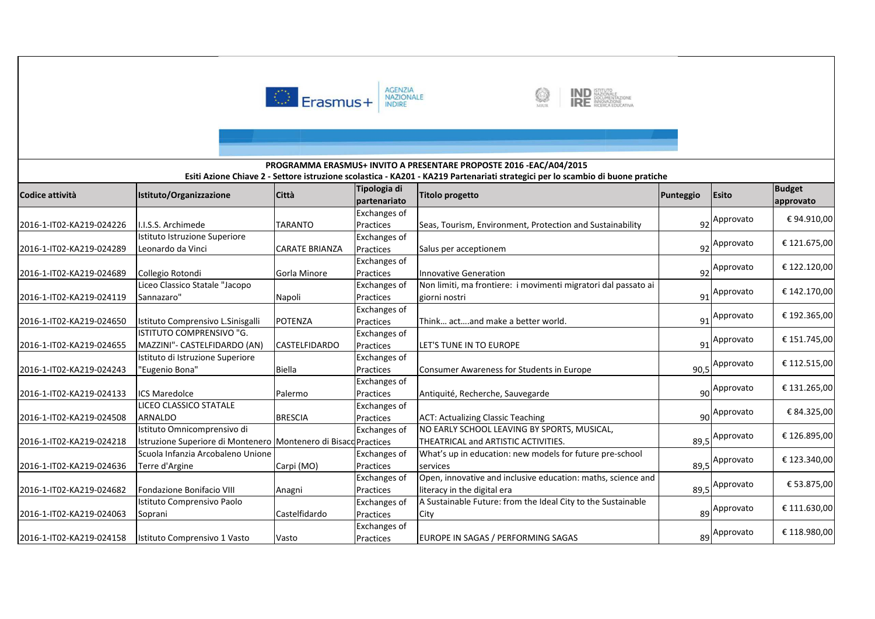



#### **Codice attività Istituto/Organizzazione Città Tipologia di partenariato Titolo progetto Punteggio Esito Budget approvato Esiti Azione Chiave 2 - Settore istruzione scolastica - KA201 - KA219 Partenariati strategici per lo scambio di buone pratiche PROGRAMMA ERASMUS+ INVITO A PRESENTARE PROPOSTE 2016 -EAC/A04/2015**2016-1-IT02-KA219-024226 I.I.S.S. Archimede TARANTOExchanges of Practices Seas, Tourism, Environment, Protection and Sustainability <sup>92</sup> Approvato € 94.910,00 2016-1-IT02-KA219-024289Istituto Istruzione Superiore Leonardo da Vinci CARATE BRIANZAExchanges of **Practices**  Salus per acceptionem <sup>92</sup> Approvato € 121.675,00 2016-1-IT02-KA219-024689 Collegio Rotondi Gorla Minore Exchanges of Practices Innovative Generation $_{92}$  Approvato  $\Big|$  € 122.120,00 2016-1-IT02-KA219-024119Liceo Classico Statale "Jacopo Sannazaro" Napoli Exchanges of Practices Exchanges of Non limiti, ma frontiere: i movimenti migratori dal passato ai giorni nostrii 91  $\begin{array}{|c|c|c|}\n\hline\n91\n\end{array}$ Approvato  $\begin{array}{|c|c|c|}\n\hline\n6142.170,00\n\end{array}$ 2016-1-IT02-KA219-024650 Istituto Comprensivo L.Sinisgalli POTENZAPracticesThink... act....and make a better world.  $91$ Approvato  $\left| \right.$  € 192.365,00 2016-1-IT02-KA219-024655ISTITUTO COMPRENSIVO "G. MAZZINI"- CASTELFIDARDO (AN) CASTELFIDARDOExchanges of Practices LET'S TUNE IN TO EUROPEE 91  $_{91}$  Approvato  $\left| \begin{array}{c} 6 \\ 151.745,00 \end{array} \right|$ 2016-1-IT02-KA219-024243Istituto di Istruzione Superiore "Eugenio Bona" **Biella** Exchanges of PracticesConsumer Awareness for Students in Europe Fig. 1886. [18] PO.5 Approvato € 112.515,00 2016-1-IT02-KA219-024133 ICS Maredolce PalermoExchanges of Practices Antiquité, Recherche, Sauvegardee 90 90 Approvato  $\Big|$  € 131.265,00 2016-1-IT02-KA219-024508LICEO CLASSICO STATALE ARNALDO BRESCIA Exchanges of Practices ACT: Actualizing Classic Teaching8 90  $\begin{array}{c|c}\n\hline\n90\n\end{array}$  Approvato  $\begin{array}{c}\n\hline\n\end{array}$   $\in$  84.325,00 2016-1-IT02-KA219-024218Istituto Omnicomprensivo di Istruzione Superiore di Montenero | Montenero di Bisacq Practices Exchanges of Exchanges of NO EARLY SCHOOL LEAVING BY SPORTS, MUSICAL, THEATRICAL and ARTISTIC ACTIVITIES. **89,5**  Approvato € 126.895,00 2016-1-IT02-KA219-024636Scuola Infanzia Arcobaleno Unione Terre d'Argine (MO) Practices Exchanges of What's up in education: new models for future pre-school servicess and  $\frac{89,5}{2}$  $89,5$  Approvato  $\Big|$  € 123.340,00 2016-1-IT02-KA219-024682 Fondazione Bonifacio VIII Anagni Practices Exchanges of Open, innovative and inclusive education: maths, science and literacy in the digital eraa 89,5  $89.5$  Approvato  $\leftarrow$  £ 53.875,00 2016-1-IT02-KA219-024063Istituto Comprensivo Paolo Soprani CastelfidardoPractices Exchanges of A Sustainable Future: from the Ideal City to the Sustainable **City** y 89  $\begin{array}{|c|c|c|}\n\hline\n 89\n\end{array}$ Approvato  $\begin{array}{|c|c|}\n\hline\n 6111.630,00\n\end{array}$ 2016-1-IT02-KA219-024158 Istituto Comprensivo 1 Vasto VastoPracticesEUROPE IN SAGAS / PERFORMING SAGAS 89 Approvato <sup>2</sup>€ 118.980,00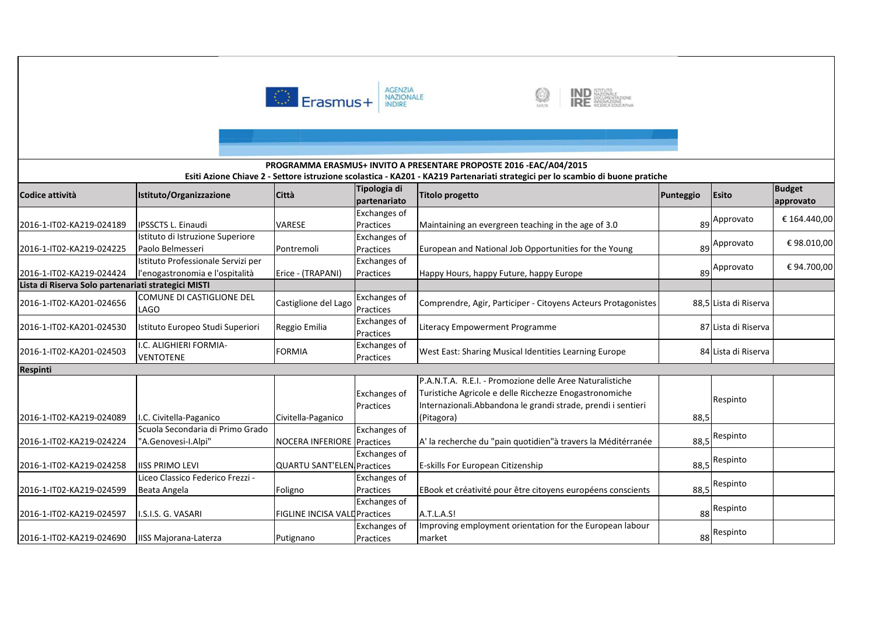



# **Codice attività Istituto/Organizzazione Città Tipologia di partenariato Titolo progetto Punteggio Esito Budget approvato Esiti Azione Chiave 2 - Settore istruzione scolastica - KA201 - KA219 Partenariati strategici per lo scambio di buone pratiche PROGRAMMA ERASMUS+ INVITO A PRESENTARE PROPOSTE 2016 -EAC/A04/2015**2016-1-IT02-KA219-024189 IPSSCTS L. Einaudi VARESE Exchanges of Practices Maintaining an evergreen teaching in the age of 3.0 $89$  Approvato  $\left| \right.$  € 164.440,00 2016-1-IT02-KA219-024225Istituto di Istruzione Superiore Paolo Belmesseri Pontremoli Exchanges of Practices European and National Job Opportunities for the Young <sup>89</sup> $\begin{array}{|c|c|c|}\n\hline\n 89\n\end{array}$  Approvato  $\begin{array}{|c|c|}\n\hline\n\end{array}$   $\in$  98.010,00 2016-1-IT02-KA219-024424 **Lista di Riserva Solo partenariati strategici MISTI**Istituto Professionale Servizi per l'enogastronomia e l'ospitalità Erice - (TRAPANI)Exchanges of PracticesHappy Hours, happy Future, happy Europe  $\begin{array}{|c|c|c|}\n\hline\n 89\n\end{array}$  Approvato  $\begin{array}{|c|c|c|}\n\hline\n 694.700,00\n\end{array}$ 6 COMUNE DI CASTIGLIONE DEL 2016-1-IT02-KA201-024656LAGOCastiglione del Lago Exchanges of Comprendre, Agir, Participer - Citoyens Acteurs Protagonistes 88,5 Lista di Riserva<br>Exchanges of Comprendre, Agir, Participer - Citoyens Acteurs Protagonistes 88,5 Lista di Riserva 2016-1-IT02-KA201-024530 Istituto Europeo Studi Superiori Reggio Emilia Practices Literacy Empowerment Programme <sup>87</sup> Lista di Riserva 2016-1-IT02-KA201-024503 I.C. ALIGHIERI FORMIA-**VENTOTENE** FORMIA Exchanges of West East: Sharing Musical Identities Learning Europe 84 Lista di Riserva **Respinti**2016-1-IT02-KA219-024089 I.C. Civitella-Paganico Civitella-PaganicoExchanges of PracticesP.A.N.T.A. R.E.I. - Promozione delle Aree Naturalistiche Turistiche Agricole e delle Ricchezze Enogastronomiche Internazionali.Abbandona le grandi strade, prendi i sentieri (Pitagora)) and  $88,5$ Respinto2016-1-IT02-KA219-024224Scuola Secondaria di Primo Grado "A.Genovesi-I.Alpi" NOCERA INFERIORE PracticesExchanges of A' la recherche du "pain quotidien"à travers la Méditérranée | 68,5 Respinto 2016-1-IT02-KA219-024258 | IISS PRIMO LEVI Exchanges of **QUARTU SANT'ELEN. Practices**  E-skills For European Citizenship 88,5 Respinto 2016-1-IT02-KA219-024599Liceo Classico Federico Frezzi - Beata Angela **Foligno** Exchanges of PracticesEBook et créativité pour être citoyens européens conscients | 68,5 Respinto 2016-1-IT02-KA219-024597 | I.S.I.S. G. VASARI FIGLINE INCISA VALDPractices Exchanges of Exchanges of s | A.T.L.A.S! | 88 88 Respinto 2016-1-IT02-KA219-024690 IISS Majorana-Laterza PutignanoPracticesImproving employment orientation for the European labour markett and the set of the set of the set of the set of the set of the set of the set of the set of the set of the set of the set of the set of the set of the set of the set of the set of the set of the set of the set of the set Respinto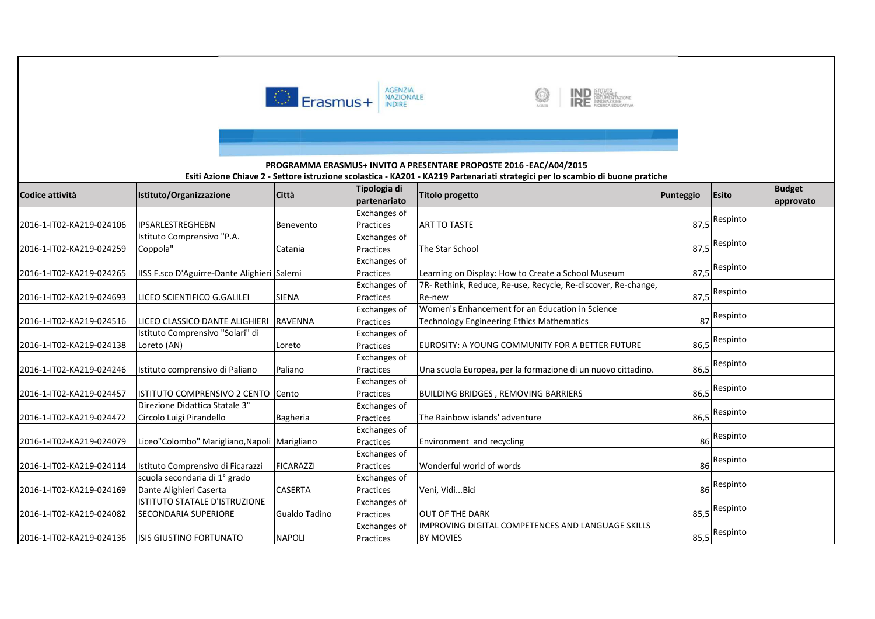



### **Codice attività Istituto/Organizzazione Città Tipologia di partenariato Titolo progetto Punteggio Esito Budget approvato Esiti Azione Chiave 2 - Settore istruzione scolastica - KA201 - KA219 Partenariati strategici per lo scambio di buone pratiche PROGRAMMA ERASMUS+ INVITO A PRESENTARE PROPOSTE 2016 -EAC/A04/2015**2016-1-IT02-KA219-024106 |IPSARLESTREGHEBN |Benevento Exchanges of Practices ART TO TASTEE 87,5 87.5<sup>Respinto</sup> 2016-1-IT02-KA219-024259Istituto Comprensivo "P.A. Coppola" Catania Exchanges of PracticesThe Star School 87.5<sup>Respinto</sup> 2016-1-IT02-KA219-024265 |IISS F.sco D'Aguirre-Dante Alighieri Salemi Exchanges of PracticesLearning on Display: How to Create a School Museum 87,5<sup>Respinto</sup> 2016-1-IT02-KA219-024693 LICEO SCIENTIFICO G.GALILEI SIENAExchanges of Practices Exchanges of 7R- Rethink, Reduce, Re-use, Recycle, Re-discover, Re-change, Re-new 87,5 Respinto 2016-1-IT02-KA219-024516 LICEO CLASSICO DANTE ALIGHIERI RAVENNAPractices Exchanges of Women's Enhancement for an Education in Science Technology Engineering Ethics Mathematics <sup>87</sup>87 Respinto 2016-1-IT02-KA219-024138Istituto Comprensivo "Solari" di Loreto (AN) LoretoPracticesEUROSITY: A YOUNG COMMUNITY FOR A BETTER FUTURE | 86,5 Respinto 2016-1-IT02-KA219-024246 Istituto comprensivo di Paliano PalianoExchanges of PracticesUna scuola Europea, per la formazione di un nuovo cittadino. | 86,5 Respinto 2016-1-IT02-KA219-024457 | ISTITUTO COMPRENSIVO 2 CENTO Cento Exchanges of PracticesBUILDING BRIDGES, REMOVING BARRIERS | 86,5 Respinto 2016-1-IT02-KA219-024472Direzione Didattica Statale 3° Circolo Luigi Pirandello Bagheria Exchanges of Practices The Rainbow islands' adventuree 86,5 86.5<sup>Respinto</sup> 2016-1-IT02-KA219-024079 | Liceo"Colombo" Marigliano, Napoli Marigliano Exchanges of Practices Environment and recycling8 86 Respinto 2016-1-IT02-KA219-024114 Istituto Comprensivo di Ficarazzi FICARAZZI Exchanges of PracticesWonderful world of words and the state of the state of the state and state state of the state state state state state state state state state state state state state state state state state state state state state state st Respinto 2016-1-IT02-KA219-024169scuola secondaria di 1° grado Dante Alighieri Caserta CASERTA Exchanges of PracticesVeni, Vidi...Bici Respinto 2016-1-IT02-KA219-024082ISTITUTO STATALE D'ISTRUZIONE SECONDARIA SUPERIORE Gualdo Tadino Exchanges of Practices OUT OF THE DARK 85,5 Respinto 2016-1-IT02-KA219-024136 ISIS GIUSTINO FORTUNATO NAPOLI Exchanges of PracticesIMPROVING DIGITAL COMPETENCES AND LANGUAGE SKILLS BY MOVIES $\mathsf{S}$  85,5 85,5<sup>Respinto</sup>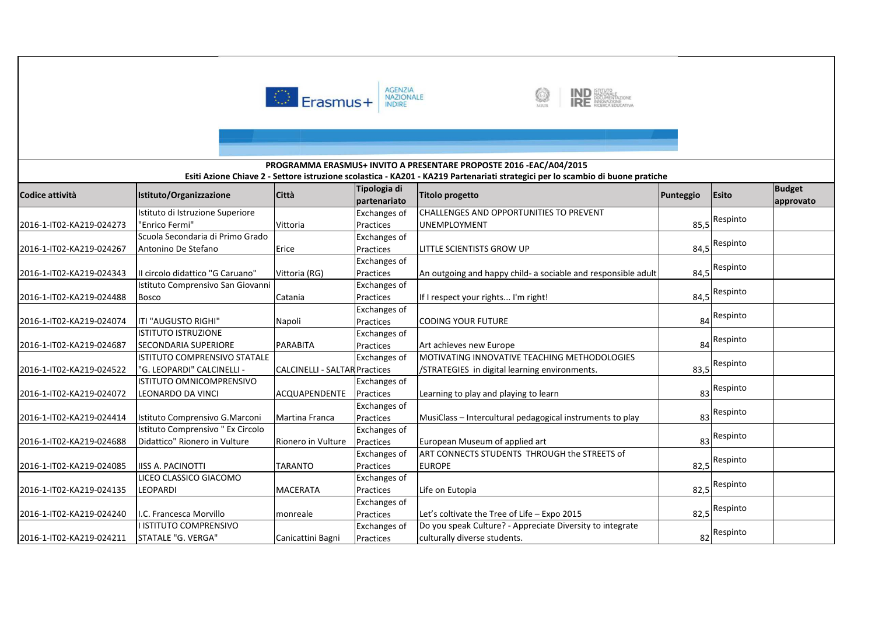





#### **Codice attività Istituto/Organizzazione Città Tipologia di partenariato Titolo progetto Punteggio Esito Budget approvato Esiti Azione Chiave 2 - Settore istruzione scolastica - KA201 - KA219 Partenariati strategici per lo scambio di buone pratiche PROGRAMMA ERASMUS+ INVITO A PRESENTARE PROPOSTE 2016 -EAC/A04/2015**2016-1-IT02-KA219-024273Istituto di Istruzione Superiore "Enrico Fermi" Vittoria Exchanges of Practices Exchanges of CHALLENGES AND OPPORTUNITIES TO PREVENT UNEMPLOYMENTT 85,5 85.5<sup>Respinto</sup> 2016-1-IT02-KA219-024267Scuola Secondaria di Primo Grado Antonino De Stefano **Erice** Practices LITTLE SCIENTISTS GROW UP 84,5 Respinto 2016-1-IT02-KA219-024343 II circolo didattico "G Caruano" Vittoria (RG) Exchanges of PracticesAn outgoing and happy child- a sociable and responsible adult 84,5<sup>Respinto</sup> 2016-1-IT02-KA219-024488Istituto Comprensivo San Giovanni Bosco <mark>Catania</mark> Exchanges of PracticesIf I respect your rights... I'm right! 84,5<sup>Respinto</sup> 2016-1-IT02-KA219-024074 ITI "AUGUSTO RIGHI" Napoli Exchanges of Practices CODING YOUR FUTUREE 84 84<sup>Respinto</sup> 2016-1-IT02-KA219-024687ISTITUTO ISTRUZIONE SECONDARIA SUPERIORE PARABITA Exchanges of Practices Art achieves new Europee 84 84<sup>Respinto</sup> 2016-1-IT02-KA219-024522ISTITUTO COMPRENSIVO STATALE "G. LEOPARDI" CALCINELLI - Exchanges of Exchanges of **CALCINELLI - SALTAR Practices** MOTIVATING INNOVATIVE TEACHING METHODOLOGIES /STRATEGIES in digital learning environments. 83,5 Respinto 2016-1-IT02-KA219-024072ISTITUTO OMNICOMPRENSIVO LEONARDO DA VINCI ACQUAPENDENTE PracticesLearning to play and playing to learn **Example 20** 83 Respinto 2016-1-IT02-KA219-024414 | Istituto Comprensivo G.Marconi | Martina Franca Exchanges of Practices MusiClass – Intercultural pedagogical instruments to play <sup>83</sup> Respinto 2016-1-IT02-KA219-024688Istituto Comprensivo " Ex Circolo Didattico" Rionero in Vulture Rionero in Vulture Exchanges of PracticesEuropean Museum of applied art and 83 Respinto 2016-1-IT02-KA219-024085 IISS A. PACINOTTI TARANTOExchanges of Practices Exchanges of ART CONNECTS STUDENTS THROUGH the STREETS of EUROPEE 82,5 82,5<sup>Respinto</sup> 2016-1-IT02-KA219-024135LICEO CLASSICO GIACOMO LEOPARDI MACERATA Practices Life on Eutopiaa 82,5 82,5<sup>Respinto</sup> 2016-1-IT02-KA219-024240 I.C. Francesca Morvillo monreale Exchanges of PracticesLet's coltivate the Tree of Life  $-$  Expo 2015 82.5<sup>Respinto</sup> 2016-1-IT02-KA219-024211ISTITUTO COMPRENSIVO STATALE "G. VERGA" Canicattini Bagni Exchanges of PracticesDo you speak Culture? - Appreciate Diversity to integrate culturally diverse students.. 82 82<sup>Respinto</sup>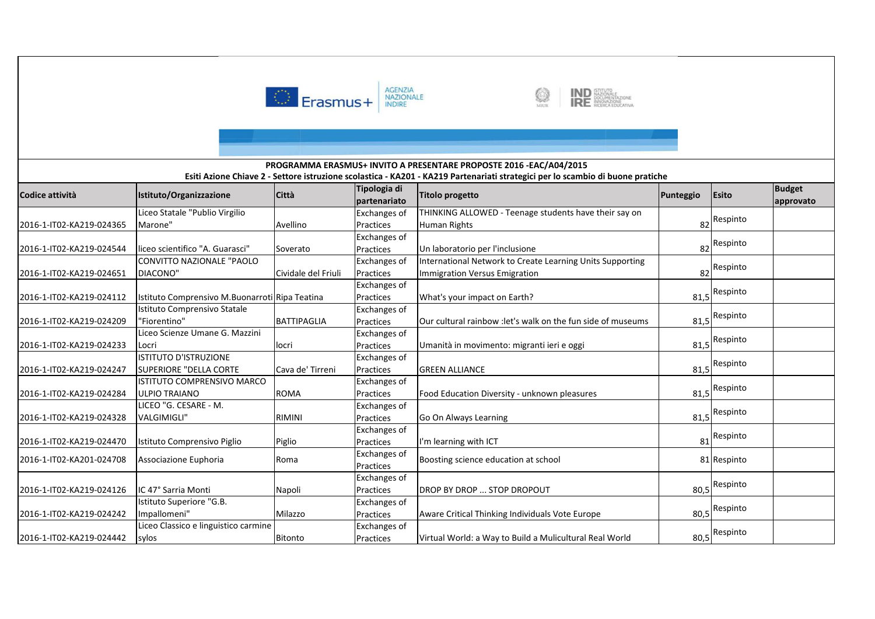

2016-1-IT02-KA219-024242

2016-1-IT02-KA219-024442

Impallomeni" Milazzo

sylos Bitonto

Liceo Classico e linguistico carmine



Aware Critical Thinking Individuals Vote Europe

Virtual World: a Way to Build a Mulicultural Real World

80,5<sup>Respinto</sup>

80,5<sup>Respinto</sup>



#### **Codice attività Istituto/Organizzazione Città Tipologia di partenariato Titolo progetto Punteggio Esito Budget approvato Esiti Azione Chiave 2 - Settore istruzione scolastica - KA201 - KA219 Partenariati strategici per lo scambio di buone pratiche PROGRAMMA ERASMUS+ INVITO A PRESENTARE PROPOSTE 2016 -EAC/A04/2015**2016-1-IT02-KA219-024365Liceo Statale "Publio Virgilio Marone" Avellino Exchanges of Practices Exchanges of THINKING ALLOWED - Teenage students have their say onHuman Rightss and  $\overline{\phantom{a}82}$ 82<sup>Respinto</sup> 2016-1-IT02-KA219-024544 liceo scientifico "A. Guarasci" SoveratoPractices Un laboratorio per l'inclusionee 82 82<sup>Respinto</sup> 2016-1-IT02-KA219-024651CONVITTO NAZIONALE "PAOLO DIACONO" Cividale del Friuli Exchanges of Practices Exchanges of International Network to Create Learning Units Supporting Immigration Versus Emigration <sup>82</sup> Respinto 2016-1-IT02-KA219-024112 Istituto Comprensivo M.Buonarroti Ripa Teatina Practices What's your impact on Earth?example 20 and 20 and 31,5 81,5<sup>Respinto</sup> 2016-1-IT02-KA219-024209Istituto Comprensivo Statale "Fiorentino" BATTIPAGLIA Exchanges of PracticesOur cultural rainbow : let's walk on the fun side of museums 81,5<sup>Respinto</sup> 2016-1-IT02-KA219-024233Liceo Scienze Umane G. Mazzini Locri locri locri locri locri locri locri locri locri locri locri locri locri locri locri locri locri locri lo Exchanges of PracticesUmanità in movimento: migranti ieri e oggi entra entra alla superficitatione di anno 81,5 Respinto 2016-1-IT02-KA219-024247ISTITUTO D'ISTRUZIONE SUPERIORE "DELLA CORTE Cava de' Tirreni Exchanges of Practices GREEN ALLIANCEE 81,5 81.5<sup>Respinto</sup> 2016-1-IT02-KA219-024284ISTITUTO COMPRENSIVO MARCO ULPIO TRAIANO ROMA Exchanges of PracticesFood Education Diversity - unknown pleasures and the state 81,5 Respinto 2016-1-IT02-KA219-024328LICEO "G. CESARE - M. VALGIMIGLI" RIMINI Exchanges of PracticesGo On Always Learning 81,5 Respinto 2016-1-IT02-KA219-024470 Istituto Comprensivo Piglio Piglio Exchanges of PracticesPractices I'm learning with ICT<br>Exchanges of T 81 81<sup>Respinto</sup> 2016-1-IT02-KA201-024708 Associazione Euphoria Roma Roma Romanges Reserved Reserved Practices Boosting science education at school **81** Respinto 2016-1-IT02-KA219-024126 IC 47° Sarria Monti Napoli Exchanges of PracticesDROP BY DROP ... STOP DROPOUT 80,5 Respinto Istituto Superiore "G.B.

Exchanges of Practices

Exchanges of Practices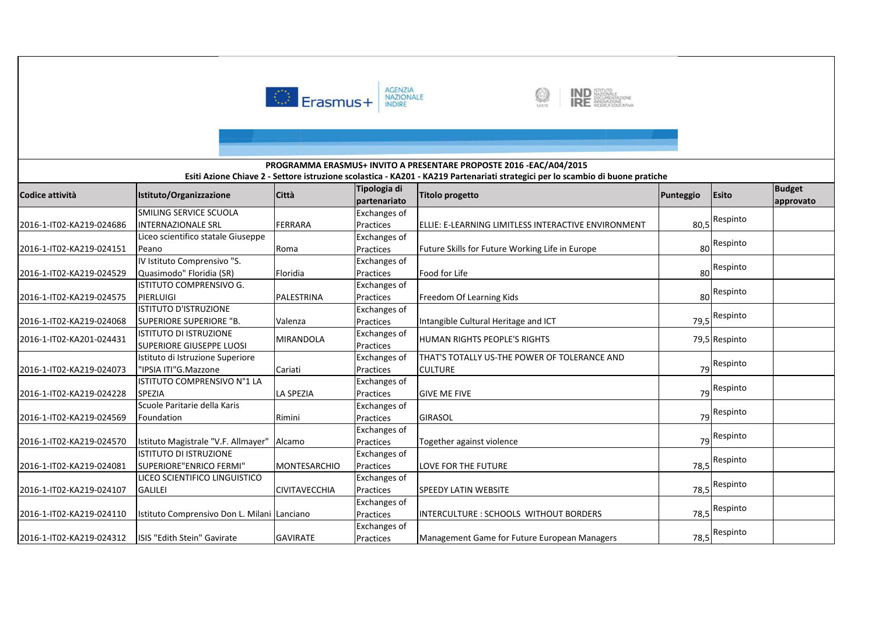



#### **Codice attività Istituto/Organizzazione Città Tipologia di partenariato Titolo progetto Punteggio Esito Budget approvato Esiti Azione Chiave 2 - Settore istruzione scolastica - KA201 - KA219 Partenariati strategici per lo scambio di buone pratiche PROGRAMMA ERASMUS+ INVITO A PRESENTARE PROPOSTE 2016 -EAC/A04/2015**2016-1-IT02-KA219-024686SMILING SERVICE SCUOLA INTERNAZIONALE SRL FERRARA Exchanges of PracticesELLIE: E-LEARNING LIMITLESS INTERACTIVE ENVIRONMENT | 80,5 Respinto 2016-1-IT02-KA219-024151Liceo scientifico statale Giuseppe Peano Roma Exchanges of PracticesFuture Skills for Future Working Life in Europe 80<sup>Respinto</sup> 2016-1-IT02-KA219-024529IV Istituto Comprensivo "S. Quasimodo" Floridia (SR) Floridia Exchanges of Practices Food for Lifee 80 80 Respinto 2016-1-IT02-KA219-024575ISTITUTO COMPRENSIVO G. PIERLUIGI PALESTRINA Exchanges of PracticesFreedom Of Learning Kids 80 Respinto 2016-1-IT02-KA219-024068ISTITUTO D'ISTRUZIONE SUPERIORE SUPERIORE "B. ValenzaExchanges of PracticesIntangible Cultural Heritage and ICT 79,5<sup>Respinto</sup> 2016-1-IT02-KA201-0244311 ISTITUTO DI ISTRUZIONE<br>I SUPERIORE GIUSEPPE LUOSI Istituto di Istruzione Superiore MIRANDOLA Exchanges of Practices HUMAN RIGHTS PEOPLE'S RIGHTS 79,5 Respinto 2016-1-IT02-KA219-024073"IPSIA ITI"G.Mazzone Cariati Exchanges of Practices Exchanges of THAT'S TOTALLY US-THE POWER OF TOLERANCE AND CULTUREE 79 79 Respinto 2016-1-IT02-KA219-024228ISTITUTO COMPRENSIVO N°1 LA SPEZIA LA SPEZIAPractices GIVE ME FIVEE 79 79<sup>Respinto</sup> 2016-1-IT02-KA219-024569Scuole Paritarie della Karis Foundation **Rimini** Exchanges of Practices GIRASOL<u>L</u> 79 79 Respinto 2016-1-IT02-KA219-024570 | Istituto Magistrale "V.F. Allmayer" | Alcamo Exchanges of Practices Together against violencee 79 Respinto 2016-1-IT02-KA219-024081ISTITUTO DI ISTRUZIONE SUPERIORE"ENRICO FERMI" MONTESARCHIOExchanges of Practices LOVE FOR THE FUTUREE 78,5 78.5<sup>Respinto</sup> 2016-1-IT02-KA219-024107LICEO SCIENTIFICO LINGUISTICO GALILEI CIVITAVECCHIA Exchanges of Practices SPEEDY LATIN WEBSITEE 78,5 78.5<sup>Respinto</sup> 2016-1-IT02-KA219-024110 Istituto Comprensivo Don L. Milani LancianoExchanges of PracticesINTERCULTURE : SCHOOLS WITHOUT BORDERS 78,5<sup>Respinto</sup> 2016-1-IT02-KA219-024312 ISIS "Edith Stein" Gavirate GAVIRATE Exchanges of PracticesManagement Game for Future European Managers 78,5<sup>Respinto</sup>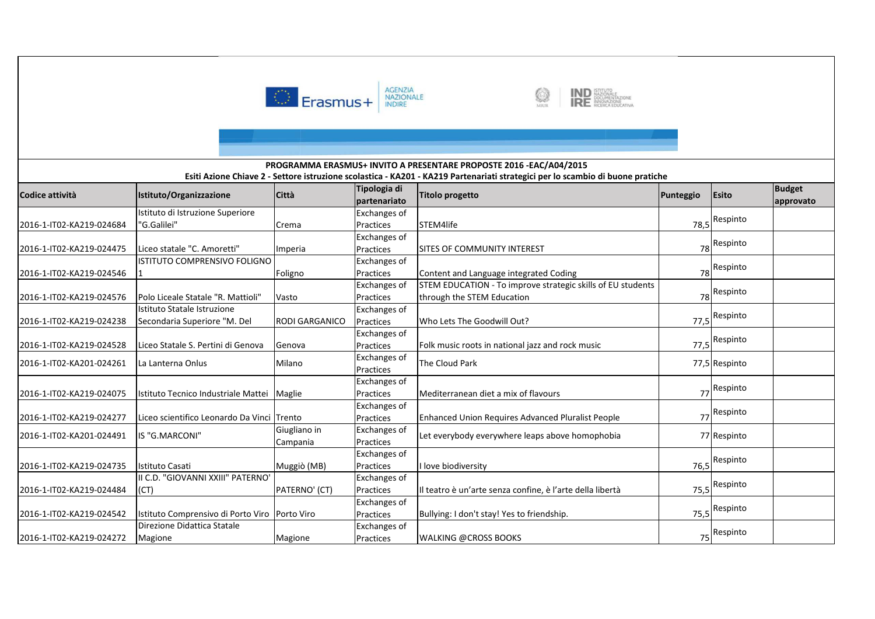



### **Codice attività Istituto/Organizzazione Città Tipologia di partenariato Titolo progetto Punteggio Esito Budget approvato Esiti Azione Chiave 2 - Settore istruzione scolastica - KA201 - KA219 Partenariati strategici per lo scambio di buone pratiche PROGRAMMA ERASMUS+ INVITO A PRESENTARE PROPOSTE 2016 -EAC/A04/2015**2016-1-IT02-KA219-024684Istituto di Istruzione Superiore "G.Galilei" Crema Exchanges of Practices STEM4lifee 78,5 78.5<sup>Respinto</sup> 2016-1-IT02-KA219-024475 Liceo statale "C. Amoretti" Imperia Exchanges of Practices SITES OF COMMUNITY INTERESTT 78 78 Respinto 2016-1-IT02-KA219-024546ISTITUTO COMPRENSIVO FOLIGNO **Foligno** Exchanges of PracticesContent and Language integrated Coding 78 Respinto 2016-1-IT02-KA219-024576 Polo Liceale Statale "R. Mattioli" VastoExchanges of Practices Exchanges of STEM EDUCATION - To improve strategic skills of EU students through the STEM Education 78 Respinto 2016-1-IT02-KA219-024238Istituto Statale Istruzione Secondaria Superiore "M. Del RODI GARGANICO Practices Who Lets The Goodwill Out?<u>2. T7,5</u> 77,5<sup>Respinto</sup> 2016-1-IT02-KA219-024528 Liceo Statale S. Pertini di Genova Genova Exchanges of PracticesFolk music roots in national jazz and rock music 77,5<sup>Respinto</sup> 2016-1-IT02-KA201-024261 La Lanterna Onlus Milano Exchanges of Practices Exchanges of The Cloud Park 77,5 Respinto2016-1-IT02-KA219-024075 Istituto Tecnico Industriale Mattei Maglie PracticesMediterranean diet a mix of flavours **77**  Respinto 2016-1-IT02-KA219-024277 Liceo scientifico Leonardo Da Vinci TrentoGiugliano in Exchanges of Practices Enhanced Union Requires Advanced Pluralist People <sup>77</sup>77 Respinto 2016-1-IT02-KA201-024491 | IS "G.MARCONI" CampaniaExchanges of PracticesLet everybody everywhere leaps above homophobia and all the very despinto 2016-1-IT02-KA219-024735 Istituto Casati Muggiò (MB) Exchanges of Practiceslove biodiversity y 76,5 76.5<sup>Respinto</sup> 2016-1-IT02-KA219-024484II C.D. "GIOVANNI XXIII" PATERNO' (CT) PATERNO' (CT) Exchanges of Practices Il teatro è un'arte senza confine, è l'arte della libertà 75,5 Respinto 2016-1-IT02-KA219-024542 Istituto Comprensivo di Porto Viro Porto ViroExchanges of PracticesBullying: I don't stay! Yes to friendship. 75,5<sup>Respinto</sup> 2016-1-IT02-KA219-024272Direzione Didattica Statale Magione Magione Exchanges of Practices WALKING @CROSS BOOKSS 75 75<sup>Respinto</sup>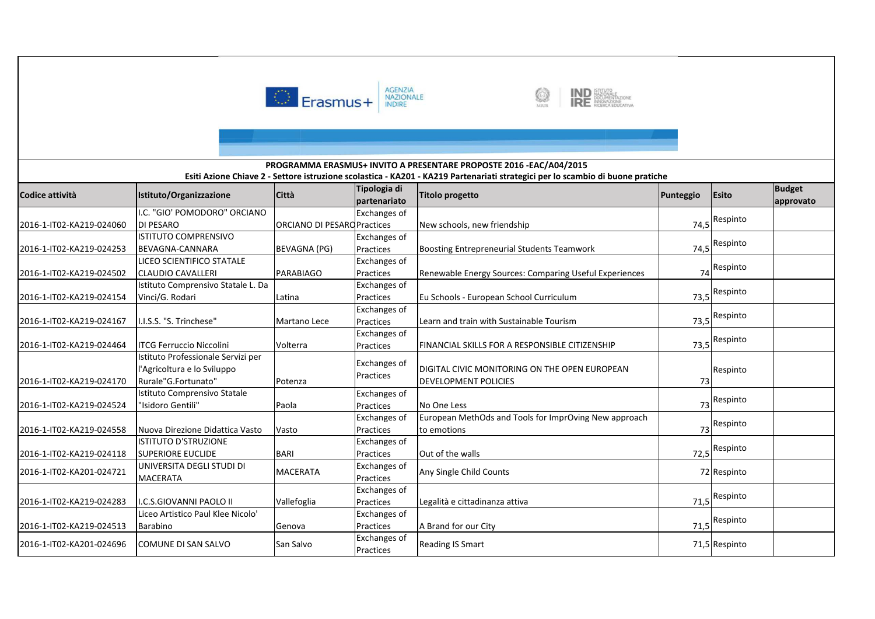



#### **Codice attività Istituto/Organizzazione Città Tipologia di partenariato Titolo progetto Punteggio Esito Budget approvato Esiti Azione Chiave 2 - Settore istruzione scolastica - KA201 - KA219 Partenariati strategici per lo scambio di buone pratiche PROGRAMMA ERASMUS+ INVITO A PRESENTARE PROPOSTE 2016 -EAC/A04/2015**2016-1-IT02-KA219-024060I.C. "GIO' POMODORO" ORCIANO DI PESAROO **O ORCIANO DI PESARO Practices** Exchanges of New schools, new friendship 74,5 Respinto 2016-1-IT02-KA219-024253ISTITUTO COMPRENSIVO BEVAGNA-CANNARA BEVAGNA (PG) Exchanges of **Practices** Boosting Entrepreneurial Students Teamwork 74.5<sup>Respinto</sup> 2016-1-IT02-KA219-024502LICEO SCIENTIFICO STATALE CLAUDIO CAVALLERI PARABIAGOExchanges of PracticesRenewable Energy Sources: Comparing Useful Experiences 74 Respinto 2016-1-IT02-KA219-024154Istituto Comprensivo Statale L. Da Vinci/G. Rodari Latina Exchanges of PracticesEu Schools - European School Curriculum 73,5<sup>Respinto</sup> 2016-1-IT02-KA219-024167 I.I.S.S. "S. Trinchese" Martano Lece Exchanges of PracticesLearn and train with Sustainable Tourism 73,5<sup>Respinto</sup> 2016-1-IT02-KA219-024464 ITCG Ferruccio Niccolini Volterra Exchanges of PracticesFINANCIAL SKILLS FOR A RESPONSIBLE CITIZENSHIP 73,5<sup>Respinto</sup> 2016-1-IT02-KA219-024170Istituto Professionale Servizi per l'Agricoltura e lo Sviluppo Rurale"G.Fortunato" Potenza Exchanges of PracticesDIGITAL CIVIC MONITORING ON THE OPEN EUROPEAN DEVELOPMENT POLICIES $\begin{array}{ccc} 5 & 73 \end{array}$ Respinto2016-1-IT02-KA219-024524Istituto Comprensivo Statale "Isidoro Gentili" Paola Exchanges of Practicess No One Less 73 73 Respinto 2016-1-IT02-KA219-024558 Nuova Direzione Didattica Vasto VastoExchanges of Practices Exchanges of European MethOds and Tools for ImprOving New approach to emotionss and the set of  $\sim$  73 73 Respinto 2016-1-IT02-KA219-024118ISTITUTO D'STRUZIONE SUPERIORE EUCLIDE BARI PracticesOut of the walls 72,5<sup>Respinto</sup> 2016-1-IT02-KA201-024721 UNIVERSITA DEGLI STUDI DI MACERATAMACERATA Exchanges of Practices Any Single Child Counts <sup>72</sup> Respinto 2016-1-IT02-KA219-024283 I.C.S.GIOVANNI PAOLO II Vallefoglia Exchanges of Practices Legalità e cittadinanza attivaa 71,5 71.5<sup>Respinto</sup> 2016-1-IT02-KA219-024513Liceo Artistico Paul Klee Nicolo' Barabino **Genova** Exchanges of Practices A Brand for our Cityy 71,5 71,5<sup>Respinto</sup> 2016-1-IT02-KA201-024696 COMUNE DI SAN SALVO San Salvo Exchanges of PracticesReading IS Smart 71,5 Respinto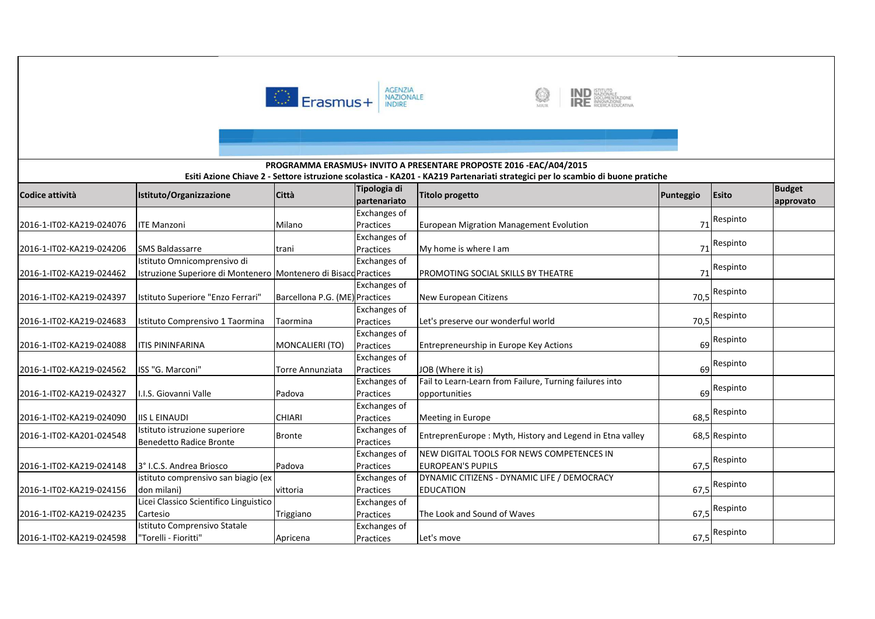



## **Codice attività Istituto/Organizzazione Città Tipologia di partenariato Titolo progetto Punteggio Esito Budget approvato Esiti Azione Chiave 2 - Settore istruzione scolastica - KA201 - KA219 Partenariati strategici per lo scambio di buone pratiche PROGRAMMA ERASMUS+ INVITO A PRESENTARE PROPOSTE 2016 -EAC/A04/2015**2016-1-IT02-KA219-024076 | ITE Manzoni Milano Exchanges of PracticesEuropean Migration Management Evolution **1988** and 1991 Respinto 2016-1-IT02-KA219-024206 SMS Baldassarre trani Exchanges of Practices My home is where I am <sup>71</sup> Respinto 2016-1-IT02-KA219-024462Istituto Omnicomprensivo di Istruzione Superiore di Monteneroo Montenero di Bisaco Practices Exchanges of PROMOTING SOCIAL SKILLS BY THEATRE 71 Respinto 2016-1-IT02-KA219-024397 | Istituto Superiore "Enzo Ferrari" Exchanges of Barcellona P.G. (ME) Practices **New European Citizens** 70,5<sup>Respinto</sup> 2016-1-IT02-KA219-024683 Istituto Comprensivo 1 Taormina Taormina Exchanges of PracticesLet's preserve our wonderful world 70,5<sup>Respinto</sup> 2016-1-IT02-KA219-024088 ITIS PININFARINA MONCALIERI (TO) Exchanges of **Practices**  Entrepreneurship in Europe Key Actions <sup>69</sup> Respinto 2016-1-IT02-KA219-024562 ISS "G. Marconi" Torre Annunziata Exchanges of PracticesJOB (Where it is) 69 Respinto 2016-1-IT02-KA219-024327 I.I.S. Giovanni Valle Padova Exchanges of Practices Exchanges of Fail to Learn-Learn from Failure, Turning failures into opportunities $\sim$  69 69<sup>Respinto</sup> 2016-1-IT02-KA219-024090 IIS L EINAUDI CHIARI<br>2016-1-IT02-KA219-024090 IStituto istruzione superiore Practices Meeting in Europee 68,5 68.5<sup>Respinto</sup> 2016-1-IT02-KA201-024548Benedetto Radice Bronte Bronte Exchanges of EntreprenEurope : Myth, History and Legend in Etna valley 68,5 Respinto 2016-1-IT02-KA219-024148 3° I.C.S. Andrea Briosco Padova Exchanges of Practices Exchanges of NEW DIGITAL TOOLS FOR NEWS COMPETENCES IN EUROPEAN'S PUPILS $\begin{array}{|c|c|c|c|c|}\n \hline\n \text{67,5} & \text{67,5}\n \end{array}$ 67,5<sup>Respinto</sup> 2016-1-IT02-KA219-024156istituto comprensivo san biagio (ex don milani) vittoria Practices Exchanges of DYNAMIC CITIZENS - DYNAMIC LIFE / DEMOCRACY EDUCATIONN 67,5 Respinto 2016-1-IT02-KA219-024235Licei Classico Scientifico Linguistico Cartesio **Triggiano** PracticesThe Look and Sound of Waves 67,5<sup>Respinto</sup> 2016-1-IT02-KA219-024598Istituto Comprensivo Statale "Torelli - Fioritti" Apricena Exchanges of Practices Let's movee 67,5 67,5<sup>Respinto</sup>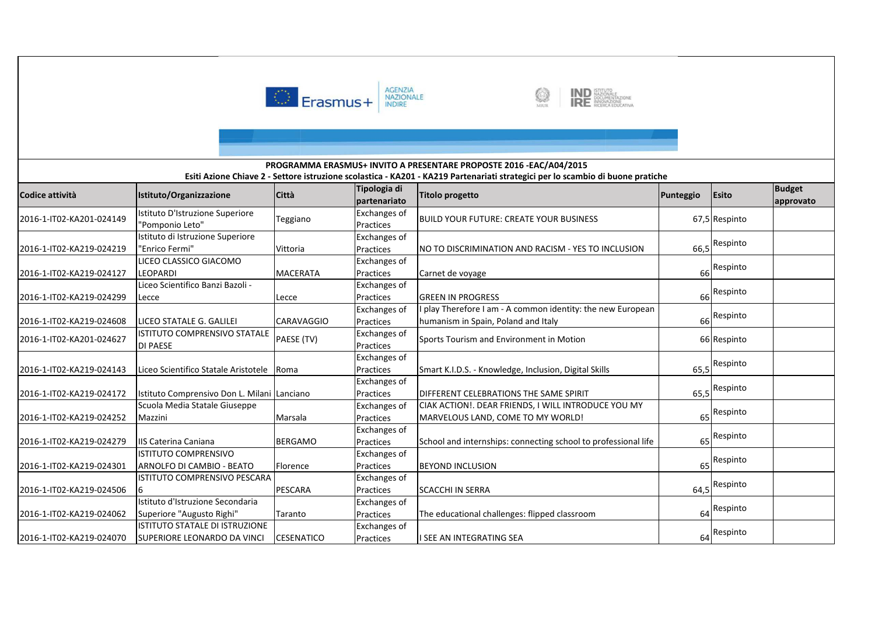



#### **Codice attività Istituto/Organizzazione Città Tipologia di partenariato Titolo progetto Punteggio Esito Budget approvato Esiti Azione Chiave 2 - Settore istruzione scolastica - KA201 - KA219 Partenariati strategici per lo scambio di buone pratiche PROGRAMMA ERASMUS+ INVITO A PRESENTARE PROPOSTE 2016 -EAC/A04/2015**2016-1-IT02-KA201-024149Istituto D'Istruzione Superior<mark>e</mark><br>"Pomponio Leto" Teggiano Exchanges of BUILD YOUR FUTURE: CREATE YOUR BUSINESS 67,5 Respinto 2016-1-IT02-KA219-024219Istituto di Istruzione Superiore "Enrico Fermi" Vittoria Exchanges of PracticesNO TO DISCRIMINATION AND RACISM - YES TO INCLUSION 66,5<sup>Respinto</sup> 2016-1-IT02-KA219-024127LICEO CLASSICO GIACOMO LEOPARDI MACERATAExchanges of Practices Carnet de voyage <sup>66</sup>66 Respinto 2016-1-IT02-KA219-024299Liceo Scientifico Banzi Bazoli - Lecce | Lecce Exchanges of Practices GREEN IN PROGRESS $\begin{array}{ccc} 5 & 66 \end{array}$  Respinto 2016-1-IT02-KA219-024608 LICEO STATALE G. GALILEI CARAVAGGIOExchanges of PracticesExchanges of I play Therefore I am - A common identity: the new European humanism in Spain, Poland and Italy 66 Respinto 2016-1-IT02-KA201-024627 ISTITUTO COMPRENSIVO STATALE DI PAESEPAESE (TV) Exchanges of Sports Tourism and Environment in Motion 66 Respinto 2016-1-IT02-KA219-024143 Liceo Scientifico Statale Aristotele Roma Exchanges of PracticesSmart K.I.D.S. - Knowledge, Inclusion, Digital Skills Fig. 565,5 Respinto 2016-1-IT02-KA219-024172 Istituto Comprensivo Don L. Milani LancianoExchanges of PracticesDIFFERENT CELEBRATIONS THE SAME SPIRIT **1998** 65,5 Respinto 2016-1-IT02-KA219-024252Scuola Media Statale Giuseppe Mazzini Marsala Exchanges of Practices Exchanges of CIAK ACTION!. DEAR FRIENDS, I WILL INTRODUCE YOU MY MARVELOUS LAND, COME TO MY WORLD! 65 Respinto 2016-1-IT02-KA219-024279 | IIS Caterina Caniana | BERGAMO PracticesSchool and internships: connecting school to professional life Respinto 2016-1-IT02-KA219-024301ISTITUTO COMPRENSIVO ARNOLFO DI CAMBIO - BEATO Florence Exchanges of Practices BEYOND INCLUSIONN 65 Respinto 2016-1-IT02-KA219-024506ISTITUTO COMPRENSIVO PESCARA **PESCARA** Exchanges of Practices SCACCHI IN SERRAA 64,5 <sup>Respinto</sup> 2016-1-IT02-KA219-024062Istituto d'Istruzione Secondaria Superiore "Augusto Righi" TarantoExchanges of Practices The educational challenges: flipped classroom <sup>64</sup>64 Respinto 2016-1-IT02-KA219-024070ISTITUTO STATALE DI ISTRUZIONE SUPERIORE LEONARDO DA VINCI CESENATICOExchanges of Practices I SEE AN INTEGRATING SEA<sup>64</sup> Respinto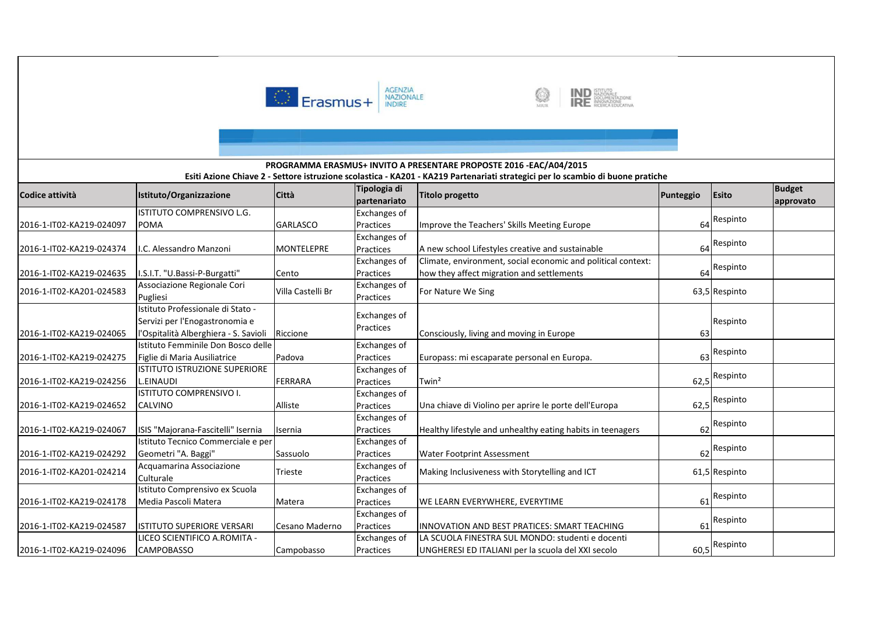



## **Codice attività Istituto/Organizzazione Città Tipologia di partenariato Titolo progetto Punteggio Esito Budget approvato Esiti Azione Chiave 2 - Settore istruzione scolastica - KA201 - KA219 Partenariati strategici per lo scambio di buone pratiche PROGRAMMA ERASMUS+ INVITO A PRESENTARE PROPOSTE 2016 -EAC/A04/2015**2016-1-IT02-KA219-024097ISTITUTO COMPRENSIVO L.G. POMA GARLASCO Exchanges of PracticesImprove the Teachers' Skills Meeting Europe Theorem 1 and 1 64 Respinto 2016-1-IT02-KA219-024374 I.C. Alessandro Manzoni MONTELEPRE Exchanges of PracticesA new school Lifestyles creative and sustainable 64 Respinto 2016-1-IT02-KA219-024635 I.S.I.T. "U.Bassi-P-Burgatti" CentoExchanges of PracticesExchanges of Climate, environment, social economic and political context: how they affect migration and settlements 64 Respinto 2016-1-IT02-KA201-024583Associazione Regionale Cori Villa Castelli Br Exchanges of Pugliesi Practices For Nature We Sing 63,5 Respinto 63,5 Respinto 63,5 Respinto 63,5 Respinto 63,5 Respinto 63,5 Respinto 63,5 Respinto 63,5 Respinto 63,5 Respinto 63,5 Respinto 63,5 Respinto 63,5 Respinto 63,5 Respinto 63,5 Respinto 63,5 Re 2016-1-IT02-KA219-024065Istituto Professionale di Stato - Servizi per l'Enogastronomia e l'Ospitalità Alberghiera - S. Savioli Riccione Exchanges of PracticesConsciously, living and moving in Europe **63**  Respinto 2016-1-IT02-KA219-024275Istituto Femminile Don Bosco delle Figlie di Maria Ausiliatrice Padova Exchanges of PracticesEuropass: mi escaparate personal en Europa. 63 Respinto 2016-1-IT02-KA219-024256ISTITUTO ISTRUZIONE SUPERIORE L.EINAUDI FERRARAExchanges of Practicess  $\boxed{\text{Twin}^2}$  62,5 62,5<sup>Respinto</sup> 2016-1-IT02-KA219-024652ISTITUTO COMPRENSIVO I. CALVINO Alliste Exchanges of Practices Una chiave di Violino per aprire le porte dell'Europa 62,562,5<sup>Respinto</sup> 2016-1-IT02-KA219-024067 ISIS "Majorana-Fascitelli" Isernia Isernia Exchanges of PracticesHealthy lifestyle and unhealthy eating habits in teenagers Respinto 2016-1-IT02-KA219-024292Istituto Tecnico Commerciale e per Geometri "A. Baggi" Sassuolo Exchanges of PracticesPractices Water Footprint Assessment 62<br>Exchanges of executive and state in the state of the state of the state of the state of the state of the state Respinto 2016-1-IT02-KA201-024214 Acquamarina Associazione CulturaleTrieste **Exchanges of Making Inclusiveness with Storytelling and ICT** 61,5 Respinto 2016-1-IT02-KA219-024178Istituto Comprensivo ex Scuola Media Pascoli Matera **Matera** Exchanges of Practices WE LEARN EVERYWHERE, EVERYTIME <sup>61</sup> Respinto 2016-1-IT02-KA219-024587 ISTITUTO SUPERIORE VERSARI Cesano MadernoExchanges of PracticesINNOVATION AND BEST PRATICES: SMART TEACHING | 61 Respinto 2016-1-IT02-KA219-024096LICEO SCIENTIFICO A.ROMITA - CAMPOBASSO CampobassoExchanges of PracticesLA SCUOLA FINESTRA SUL MONDO: studenti e docenti UNGHERESI ED ITALIANI per la scuola del XXI secolo 60,5 Respinto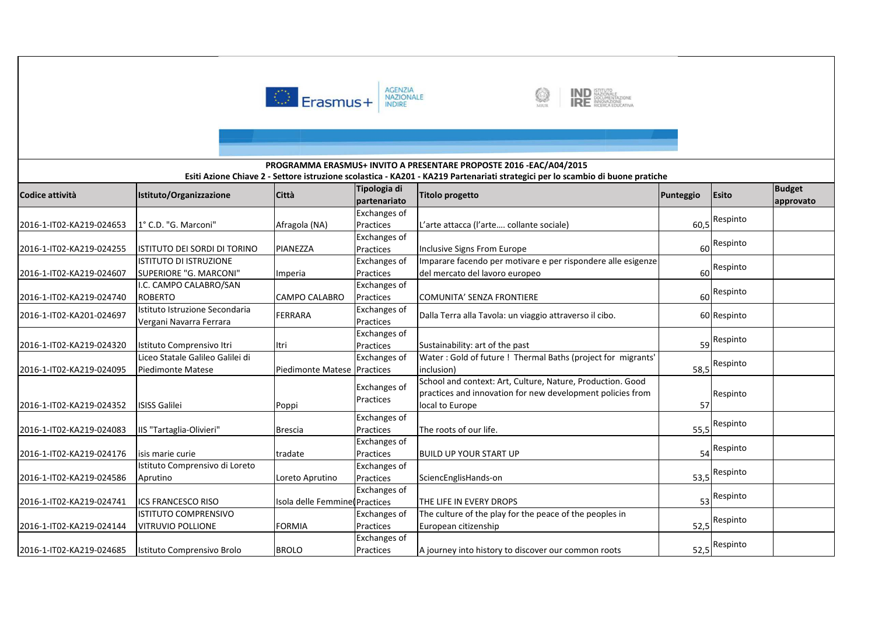





### **Codice attività Istituto/Organizzazione Città Tipologia di partenariato Titolo progetto Punteggio Esito Budget approvato Esiti Azione Chiave 2 - Settore istruzione scolastica - KA201 - KA219 Partenariati strategici per lo scambio di buone pratiche PROGRAMMA ERASMUS+ INVITO A PRESENTARE PROPOSTE 2016 -EAC/A04/2015**2016-1-IT02-KA219-024653 1° C.D. "G. Marconi" Afragola (NA) Exchanges of Practices L'arte attacca (l'arte…. collante sociale) 60,5 Respinto 2016-1-IT02-KA219-024255 ISTITUTO DEI SORDI DI TORINO PIANEZZA Exchanges of Practices Inclusive Signs From Europee 60 60 Respinto 2016-1-IT02-KA219-024607ISTITUTO DI ISTRUZIONE SUPERIORE "G. MARCONI" | Imperia Exchanges of Practices Exchanges of Imparare facendo per motivare e per rispondere alle esigenze del mercato del lavoro europeo <sup>60</sup> Respinto 2016-1-IT02-KA219-024740I.C. CAMPO CALABRO/SAN ROBERTO CALABRO Practices COMUNITA' SENZA FRONTIEREE 60 Respinto 2016-1-IT02-KA201-024697 Istituto Istruzione Secondaria Vergani Navarra FerraraFERRARA Exchanges of PracticesDalla Terra alla Tavola: un viaggio attraverso il cibo. [105] [105] 60 Respinto 2016-1-IT02-KA219-024320 Istituto Comprensivo Itri Itri Exchanges of PracticesSustainability: art of the past Respinto 2016-1-IT02-KA219-024095Liceo Statale Galileo Galilei di Piedimonte Matese Piedimonte Matese Practices Exchanges of Water : Gold of future ! Thermal Baths (project for migrants' inclusion)) and  $58,5$ 58.5<sup>Respinto</sup> 2016-1-IT02-KA219-024352 ISISS Galilei Poppi Exchanges of **Practices** School and context: Art, Culture, Nature, Production. Good practices and innovation for new development policies from local to Europee 57 Respinto Respinto2016-1-IT02-KA219-024083 IIS "Tartaglia-Olivieri" Brescia Exchanges of PracticesThe roots of our life. 2016-1-IT02-KA219-024176 isis marie curie tradate Exchanges of Practices BUILD UP YOUR START UP <sup>54</sup> Respinto 2016-1-IT02-KA219-024586Istituto Comprensivo di Loreto Aprutino Loreto AprutinoExchanges of Practices SciencEnglisHands-on 53,5 Respinto 2016-1-IT02-KA219-024741 ICS FRANCESCO RISOO Sola delle Femmine Practices Exchanges of THE LIFE IN EVERY DROPS 53 Respinto 2016-1-IT02-KA219-024144ISTITUTO COMPRENSIVO VITRUVIO POLLIONE FORMIA Exchanges of Practices Exchanges of The culture of the play for the peace of the peoples in European citizenshipp<br>
S2,5 Respinto 2016-1-IT02-KA219-024685 Istituto Comprensivo Brolo BROLOPracticesA journey into history to discover our common roots 52,5<sup>Respinto</sup>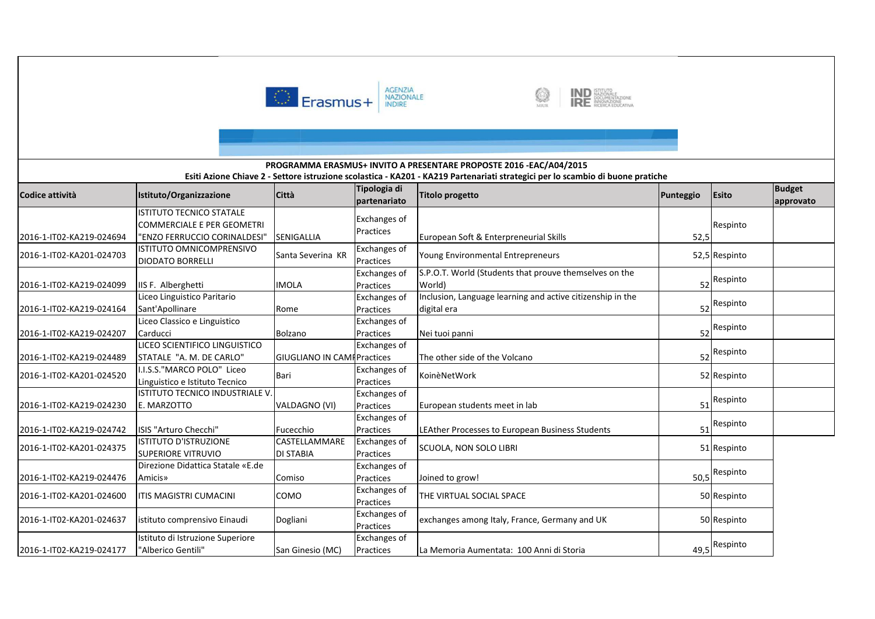



#### **Codice attività Istituto/Organizzazione Città Tipologia di partenariato Titolo progetto Punteggio Esito Budget approvato Esiti Azione Chiave 2 - Settore istruzione scolastica - KA201 - KA219 Partenariati strategici per lo scambio di buone pratiche PROGRAMMA ERASMUS+ INVITO A PRESENTARE PROPOSTE 2016 -EAC/A04/2015**2016-1-IT02-KA219-024694ISTITUTO TECNICO STATALE COMMERCIALE E PER GEOMETRI "ENZO FERRUCCIO CORINALDESI" SEENIGALLIA Exchanges of PracticesEuropean Soft & Enterpreneurial Skills 52,5 Respinto 2016-1-IT02-KA201-024703 ISTITUTO OMNICOMPRENSIVO DIODATO BORRELLISanta Severina KR Exchanges of PracticesYoung Environmental Entrepreneurs Theory of the S2,5 Respinto 2016-1-IT02-KA219-024099 | IIS F. Alberghetti | MOLA Exchanges of Practices Exchanges of S.P.O.T. World (Students that prouve themselves on the World) $\sim$  52 Respinto 2016-1-IT02-KA219-024164Liceo Linguistico Paritario Sant'Apollinare Rome Practices Exchanges of Inclusion, Language learning and active citizenship in the digital eraa 52 Respinto 2016-1-IT02-KA219-024207Liceo Classico e Linguistico Carducci BolzanoLICEO SCIENTIFICO LINGUISTICO Practices Nei tuoi panni <sup>52</sup>52 Respinto 2016-1-IT02-KA219-024489STATALE "A. M. DE CARLO"" GIUGLIANO IN CAMF Practices i Exchanges of Exchanges of The other side of the Volcano <sup>52</sup> Respinto 2016-1-IT02-KA201-024520 I.I.S.S."MARCO POLO" Liceo Linguistico e Istituto Tecnico BariPractices Exchanges of KoinèNetWork <sup>52</sup> Respinto2016-1-IT02-KA219-024230ISTITUTO TECNICO INDUSTRIALE V. E. MARZOTTO VALDAGNO (VI) Practices European students meet in lab <sup>51</sup> Respinto 2016-1-IT02-KA219-024742 ISIS "Arturo Checchi" Fucecchio CASTELLAMMARE Exchanges of PracticesLEAther Processes to European Business Students 51 Respinto 2016-1-IT02-KA201-024375 ISTITUTO D'ISTRUZIONE SUPERIORE VITRUVIO Direzione Didattica Statale «E.de DI STABIAExchanges of Practices SCUOLA, NON SOLO LIBRI <sup>51</sup> Respinto 2016-1-IT02-KA219-024476Amicis» ComisoExchanges of Practices Joined to grow! 50,5 Respinto 2016-1-IT02-KA201-024600 ITIS MAGISTRI CUMACINI COMO Exchanges of Practices**Exchanges of** THE VIRTUAL SOCIAL SPACE <sup>50</sup> Respinto2016-1-IT02-KA201-024637 istituto comprensivo Einaudi Dogliani Exchanges of Practicesexchanges among Italy, France, Germany and UK 50 Respinto 2016-1-IT02-KA219-024177Istituto di Istruzione Superiore "Alberico Gentili" San Ginesio (MC) Exchanges of PracticesLa Memoria Aumentata: 100 Anni di Storia 49,5<sup>Respinto</sup>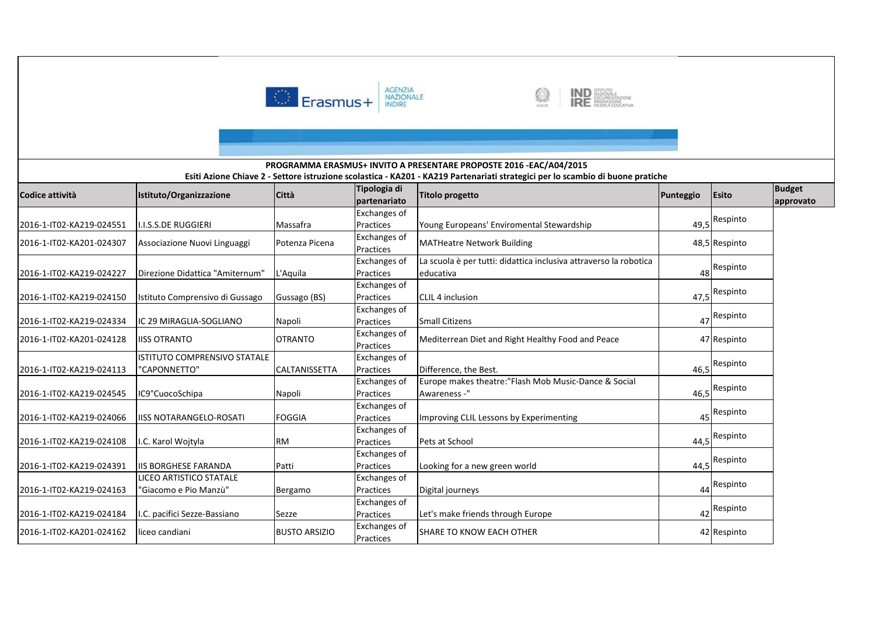



# **Codice attività Istituto/Organizzazione Città Tipologia di partenariato Titolo progetto Punteggio Esito Budget approvato Esiti Azione Chiave 2 - Settore istruzione scolastica - KA201 - KA219 Partenariati strategici per lo scambio di buone pratiche PROGRAMMA ERASMUS+ INVITO A PRESENTARE PROPOSTE 2016 -EAC/A04/2015**2016-1-IT02-KA219-024551 I.I.S.S.DE RUGGIERI Massafra Exchanges of PracticesYoung Europeans' Enviromental Stewardship  $\vert$  49,5 Respinto 2016-1-IT02-KA201-024307 Associazione Nuovi Linguaggi Potenza Picena Exchanges of MATHeatre Network Building 1990 1990 1991 1991 1992 1994 1995 1996 1997 1998 1999 1999 1999 1999 199 2016-1-IT02-KA219-024227 Direzione Didattica "Amiternum" L'Aquila Exchanges of Practices Exchanges of La scuola è per tutti: didattica inclusiva attraverso la robotica educativa 48 Respinto 2016-1-IT02-KA219-024150 Istituto Comprensivo di Gussago Gussago (BS) Practices CLIL 4 inclusion 47,5 Respinto 2016-1-IT02-KA219-024334 IC 29 MIRAGLIA-SOGLIANO Napoli Exchanges of PracticesSmall Citizens 47 Respinto 2016-1-IT02-KA201-024128 IISS OTRANTO OTRANTO Exchanges of PracticesMediterrean Diet and Right Healthy Food and Peace 47 Respinto 2016-1-IT02-KA219-024113ISTITUTO COMPRENSIVO STATALE "CAPONNETTO" | CALTANISSETTA Exchanges of PracticesDifference, the Best. 46,5 Respinto 2016-1-IT02-KA219-024545 |IC9°CuocoSchipa Napoli Exchanges of Practices Exchanges of Europe makes theatre:"Flash Mob Music-Dance & Social Awareness -" $46,5$ 46,5<sup>Respinto</sup> 2016-1-IT02-KA219-024066 | IISS NOTARANGELO-ROSATI | FOGGIA Practices Improving CLIL Lessons by Experimenting <sup>45</sup> Respinto 2016-1-IT02-KA219-024108 I.C. Karol Wojtyla RMExchanges of PracticesPets at School 44,5 Respinto 2016-1-IT02-KA219-024391 IIS BORGHESE FARANDA Patti Exchanges of Practices Looking for a new green worldd 44,5 <mark>Respinto</mark> 2016-1-IT02-KA219-024163LICEO ARTISTICO STATALE "Giacomo e Pio Manzù" | Bergamo Exchanges of Practices Digital journeys <sup>44</sup> Respinto 2016-1-IT02-KA219-024184 | I.C. pacifici Sezze-Bassiano | Sezze Exchanges of PracticesLet's make friends through Europe 42 Respinto 2016-1-IT02-KA201-024162 liceo candiani BUSTO ARSIZIO Exchanges of PracticesSHARE TO KNOW EACH OTHER<sup>42</sup> Respinto